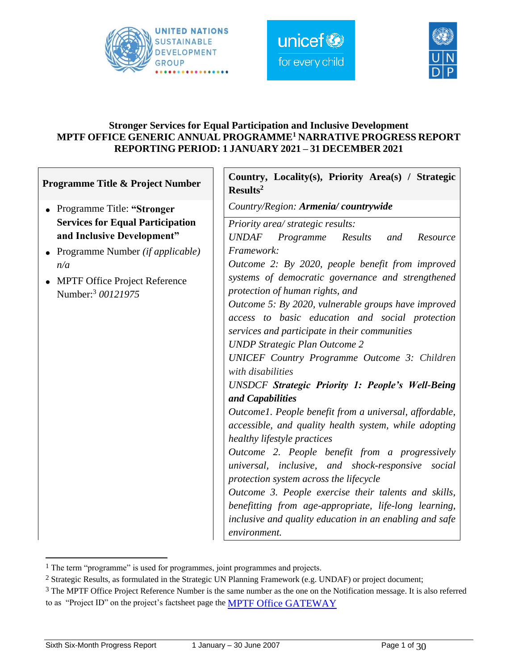

Г





#### **Stronger Services for Equal Participation and Inclusive Development MPTF OFFICE GENERIC ANNUAL PROGRAMME<sup>1</sup> NARRATIVE PROGRESS REPORT REPORTING PERIOD: 1 JANUARY 2021 – 31 DECEMBER 2021**

| Programme Title & Project Number                           | Country, Locality(s), Priority Area(s) / Strategic<br>Results <sup>2</sup> |  |  |  |
|------------------------------------------------------------|----------------------------------------------------------------------------|--|--|--|
| Programme Title: "Stronger<br>$\bullet$                    | Country/Region: Armenia/countrywide                                        |  |  |  |
| <b>Services for Equal Participation</b>                    | Priority area/ strategic results:                                          |  |  |  |
| and Inclusive Development"                                 | <b>UNDAF</b><br>Results<br>Programme<br>Resource<br>and                    |  |  |  |
| Programme Number ( <i>if applicable</i> )                  | Framework:                                                                 |  |  |  |
| n/a                                                        | Outcome 2: By 2020, people benefit from improved                           |  |  |  |
| <b>MPTF Office Project Reference</b><br>Number: 3 00121975 | systems of democratic governance and strengthened                          |  |  |  |
|                                                            | protection of human rights, and                                            |  |  |  |
|                                                            | Outcome 5: By 2020, vulnerable groups have improved                        |  |  |  |
|                                                            | access to basic education and social protection                            |  |  |  |
|                                                            | services and participate in their communities                              |  |  |  |
|                                                            | <b>UNDP</b> Strategic Plan Outcome 2                                       |  |  |  |
|                                                            | <b>UNICEF Country Programme Outcome 3: Children</b><br>with disabilities   |  |  |  |
|                                                            | <b>UNSDCF Strategic Priority 1: People's Well-Being</b>                    |  |  |  |
|                                                            | and Capabilities                                                           |  |  |  |
|                                                            | Outcome1. People benefit from a universal, affordable,                     |  |  |  |
|                                                            | accessible, and quality health system, while adopting                      |  |  |  |
|                                                            | healthy lifestyle practices                                                |  |  |  |
|                                                            | Outcome 2. People benefit from a progressively                             |  |  |  |
|                                                            | universal, inclusive, and shock-responsive social                          |  |  |  |
|                                                            | protection system across the lifecycle                                     |  |  |  |
|                                                            | Outcome 3. People exercise their talents and skills,                       |  |  |  |
|                                                            | benefitting from age-appropriate, life-long learning,                      |  |  |  |
|                                                            | inclusive and quality education in an enabling and safe                    |  |  |  |
|                                                            | environment.                                                               |  |  |  |

<sup>&</sup>lt;sup>1</sup> The term "programme" is used for programmes, joint programmes and projects.

<sup>2</sup> Strategic Results, as formulated in the Strategic UN Planning Framework (e.g. UNDAF) or project document;

<sup>&</sup>lt;sup>3</sup> The MPTF Office Project Reference Number is the same number as the one on the Notification message. It is also referred to as "Project ID" on the project's factsheet page the [MPTF Office GATEWAY](http://mdtf.undp.org/)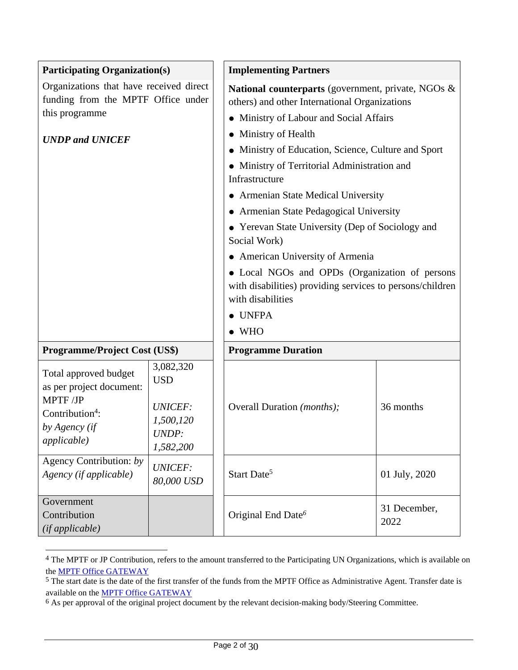| <b>Participating Organization(s)</b>                                                                                                |                                                                              | <b>Implementing Partners</b>                                                                                                                                                                                                                                                                                                                                                                                                                                                                                                                                                                                                                     |                      |
|-------------------------------------------------------------------------------------------------------------------------------------|------------------------------------------------------------------------------|--------------------------------------------------------------------------------------------------------------------------------------------------------------------------------------------------------------------------------------------------------------------------------------------------------------------------------------------------------------------------------------------------------------------------------------------------------------------------------------------------------------------------------------------------------------------------------------------------------------------------------------------------|----------------------|
| Organizations that have received direct<br>funding from the MPTF Office under<br>this programme<br><b>UNDP</b> and <b>UNICEF</b>    |                                                                              | National counterparts (government, private, NGOs &<br>others) and other International Organizations<br>• Ministry of Labour and Social Affairs<br>• Ministry of Health<br>• Ministry of Education, Science, Culture and Sport<br>• Ministry of Territorial Administration and<br>Infrastructure<br>• Armenian State Medical University<br>• Armenian State Pedagogical University<br>• Yerevan State University (Dep of Sociology and<br>Social Work)<br>• American University of Armenia<br>• Local NGOs and OPDs (Organization of persons<br>with disabilities) providing services to persons/children<br>with disabilities<br>$\bullet$ UNFPA |                      |
| <b>Programme/Project Cost (US\$)</b>                                                                                                |                                                                              | <b>Programme Duration</b>                                                                                                                                                                                                                                                                                                                                                                                                                                                                                                                                                                                                                        |                      |
| Total approved budget<br>as per project document:<br>MPTF/JP<br>Contribution <sup>4</sup> :<br>by Agency (if<br><i>applicable</i> ) | 3,082,320<br><b>USD</b><br><b>UNICEF:</b><br>1,500,120<br>UNDP:<br>1,582,200 | Overall Duration (months);                                                                                                                                                                                                                                                                                                                                                                                                                                                                                                                                                                                                                       | 36 months            |
| Agency Contribution: by<br>Agency (if applicable)                                                                                   | <b>UNICEF:</b><br>80,000 USD                                                 | Start Date <sup>5</sup>                                                                                                                                                                                                                                                                                                                                                                                                                                                                                                                                                                                                                          | 01 July, 2020        |
| Government<br>Contribution<br>(if applicable)                                                                                       |                                                                              | Original End Date <sup>6</sup>                                                                                                                                                                                                                                                                                                                                                                                                                                                                                                                                                                                                                   | 31 December,<br>2022 |

<sup>4</sup> The MPTF or JP Contribution, refers to the amount transferred to the Participating UN Organizations, which is available on the **MPTF Office GATEWAY** 

<sup>&</sup>lt;sup>5</sup> The start date is the date of the first transfer of the funds from the MPTF Office as Administrative Agent. Transfer date is available on the **MPTF Office GATEWAY** 

<sup>6</sup> As per approval of the original project document by the relevant decision-making body/Steering Committee.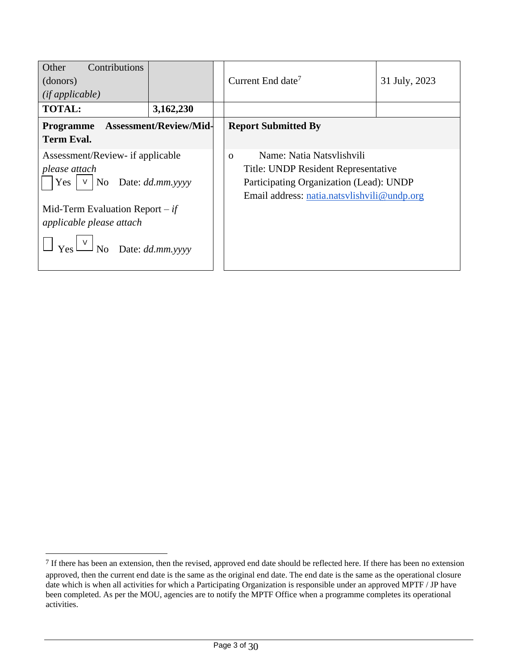| Other<br>Contributions<br>(donors)<br>(ifappliedble)                                             |                               | Current End date <sup>7</sup>                                                                                                                                          | 31 July, 2023 |
|--------------------------------------------------------------------------------------------------|-------------------------------|------------------------------------------------------------------------------------------------------------------------------------------------------------------------|---------------|
| <b>TOTAL:</b>                                                                                    | 3,162,230                     |                                                                                                                                                                        |               |
| <b>Programme</b><br><b>Term Eval.</b>                                                            | <b>Assessment/Review/Mid-</b> | <b>Report Submitted By</b>                                                                                                                                             |               |
| Assessment/Review- if applicable<br>please attach<br>$Yes \mid \vee \mid No$<br>Date: dd.mm.yyyy |                               | Name: Natia Natsylishvili<br>$\Omega$<br>Title: UNDP Resident Representative<br>Participating Organization (Lead): UNDP<br>Email address: natia.natsvlishvili@undp.org |               |
| Mid-Term Evaluation Report $-i f$<br>applicable please attach<br>No Date: $dd.mm.$ yyyy          |                               |                                                                                                                                                                        |               |

<sup>7</sup> If there has been an extension, then the revised, approved end date should be reflected here. If there has been no extension approved, then the current end date is the same as the original end date. The end date is the same as the operational closure date which is when all activities for which a Participating Organization is responsible under an approved MPTF / JP have been completed. As per the MOU, agencies are to notify the MPTF Office when a programme completes its operational activities.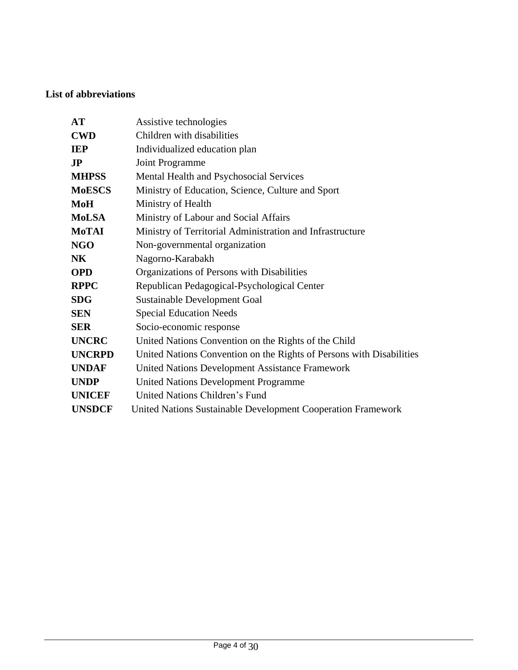## **List of abbreviations**

| AT                      | Assistive technologies                                               |
|-------------------------|----------------------------------------------------------------------|
| <b>CWD</b>              | Children with disabilities                                           |
| <b>IEP</b>              | Individualized education plan                                        |
| $\mathbf{J} \mathbf{P}$ | Joint Programme                                                      |
| <b>MHPSS</b>            | Mental Health and Psychosocial Services                              |
| <b>MoESCS</b>           | Ministry of Education, Science, Culture and Sport                    |
| MoH                     | Ministry of Health                                                   |
| <b>MoLSA</b>            | Ministry of Labour and Social Affairs                                |
| MoTAI                   | Ministry of Territorial Administration and Infrastructure            |
| <b>NGO</b>              | Non-governmental organization                                        |
| NK                      | Nagorno-Karabakh                                                     |
| <b>OPD</b>              | Organizations of Persons with Disabilities                           |
| <b>RPPC</b>             | Republican Pedagogical-Psychological Center                          |
| <b>SDG</b>              | Sustainable Development Goal                                         |
| <b>SEN</b>              | <b>Special Education Needs</b>                                       |
| <b>SER</b>              | Socio-economic response                                              |
| <b>UNCRC</b>            | United Nations Convention on the Rights of the Child                 |
| <b>UNCRPD</b>           | United Nations Convention on the Rights of Persons with Disabilities |
| <b>UNDAF</b>            | United Nations Development Assistance Framework                      |
| <b>UNDP</b>             | <b>United Nations Development Programme</b>                          |
| <b>UNICEF</b>           | United Nations Children's Fund                                       |
| <b>UNSDCF</b>           | United Nations Sustainable Development Cooperation Framework         |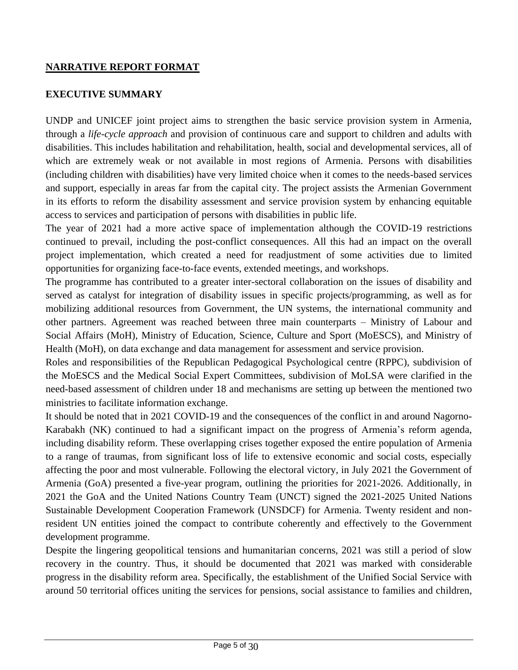#### **NARRATIVE REPORT FORMAT**

#### **EXECUTIVE SUMMARY**

UNDP and UNICEF joint project aims to strengthen the basic service provision system in Armenia, through a *life-cycle approach* and provision of continuous care and support to children and adults with disabilities. This includes habilitation and rehabilitation, health, social and developmental services, all of which are extremely weak or not available in most regions of Armenia. Persons with disabilities (including children with disabilities) have very limited choice when it comes to the needs-based services and support, especially in areas far from the capital city. The project assists the Armenian Government in its efforts to reform the disability assessment and service provision system by enhancing equitable access to services and participation of persons with disabilities in public life.

The year of 2021 had a more active space of implementation although the COVID-19 restrictions continued to prevail, including the post-conflict consequences. All this had an impact on the overall project implementation, which created a need for readjustment of some activities due to limited opportunities for organizing face-to-face events, extended meetings, and workshops.

The programme has contributed to a greater inter-sectoral collaboration on the issues of disability and served as catalyst for integration of disability issues in specific projects/programming, as well as for mobilizing additional resources from Government, the UN systems, the international community and other partners. Agreement was reached between three main counterparts – Ministry of Labour and Social Affairs (MoH), Ministry of Education, Science, Culture and Sport (MoESCS), and Ministry of Health (MoH), on data exchange and data management for assessment and service provision.

Roles and responsibilities of the Republican Pedagogical Psychological centre (RPPC), subdivision of the MoESCS and the Medical Social Expert Committees, subdivision of MoLSA were clarified in the need-based assessment of children under 18 and mechanisms are setting up between the mentioned two ministries to facilitate information exchange.

It should be noted that in 2021 COVID-19 and the consequences of the conflict in and around Nagorno-Karabakh (NK) continued to had a significant impact on the progress of Armenia's reform agenda, including disability reform. These overlapping crises together exposed the entire population of Armenia to a range of traumas, from significant loss of life to extensive economic and social costs, especially affecting the poor and most vulnerable. Following the electoral victory, in July 2021 the Government of Armenia (GoA) presented a five-year program, outlining the priorities for 2021-2026. Additionally, in 2021 the GoA and the United Nations Country Team (UNCT) signed the 2021-2025 United Nations Sustainable Development Cooperation Framework (UNSDCF) for Armenia. Twenty resident and nonresident UN entities joined the compact to contribute coherently and effectively to the Government development programme.

Despite the lingering geopolitical tensions and humanitarian concerns, 2021 was still a period of slow recovery in the country. Thus, it should be documented that 2021 was marked with considerable progress in the disability reform area. Specifically, the establishment of the Unified Social Service with around 50 territorial offices uniting the services for pensions, social assistance to families and children,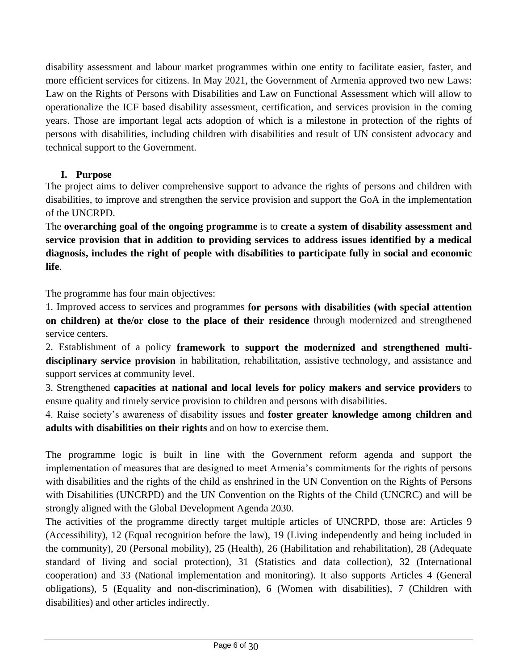disability assessment and labour market programmes within one entity to facilitate easier, faster, and more efficient services for citizens. In May 2021, the Government of Armenia approved two new Laws: Law on the Rights of Persons with Disabilities and Law on Functional Assessment which will allow to operationalize the ICF based disability assessment, certification, and services provision in the coming years. Those are important legal acts adoption of which is a milestone in protection of the rights of persons with disabilities, including children with disabilities and result of UN consistent advocacy and technical support to the Government.

## **I. Purpose**

The project aims to deliver comprehensive support to advance the rights of persons and children with disabilities, to improve and strengthen the service provision and support the GoA in the implementation of the UNCRPD.

The **overarching goal of the ongoing programme** is to **create a system of disability assessment and service provision that in addition to providing services to address issues identified by a medical diagnosis, includes the right of people with disabilities to participate fully in social and economic life**.

The programme has four main objectives:

1. Improved access to services and programmes **for persons with disabilities (with special attention on children) at the/or close to the place of their residence** through modernized and strengthened service centers.

2. Establishment of a policy **framework to support the modernized and strengthened multidisciplinary service provision** in habilitation, rehabilitation, assistive technology, and assistance and support services at community level.

3. Strengthened **capacities at national and local levels for policy makers and service providers** to ensure quality and timely service provision to children and persons with disabilities.

4. Raise society's awareness of disability issues and **foster greater knowledge among children and adults with disabilities on their rights** and on how to exercise them.

The programme logic is built in line with the Government reform agenda and support the implementation of measures that are designed to meet Armenia's commitments for the rights of persons with disabilities and the rights of the child as enshrined in the UN Convention on the Rights of Persons with Disabilities (UNCRPD) and the UN Convention on the Rights of the Child (UNCRC) and will be strongly aligned with the Global Development Agenda 2030.

The activities of the programme directly target multiple articles of UNCRPD, those are: Articles 9 (Accessibility), 12 (Equal recognition before the law), 19 (Living independently and being included in the community), 20 (Personal mobility), 25 (Health), 26 (Habilitation and rehabilitation), 28 (Adequate standard of living and social protection), 31 (Statistics and data collection), 32 (International cooperation) and 33 (National implementation and monitoring). It also supports Articles 4 (General obligations), 5 (Equality and non-discrimination), 6 (Women with disabilities), 7 (Children with disabilities) and other articles indirectly.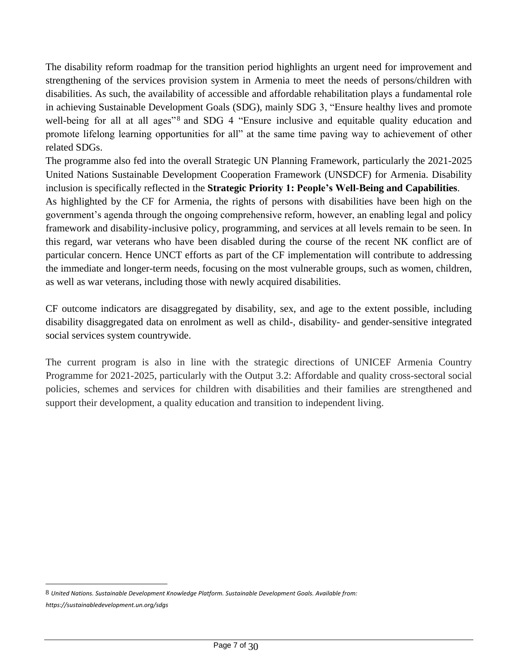The disability reform roadmap for the transition period highlights an urgent need for improvement and strengthening of the services provision system in Armenia to meet the needs of persons/children with disabilities. As such, the availability of accessible and affordable rehabilitation plays a fundamental role in achieving Sustainable Development Goals (SDG), mainly SDG 3, "Ensure healthy lives and promote well-being for all at all ages"<sup>8</sup> and SDG 4 "Ensure inclusive and equitable quality education and promote lifelong learning opportunities for all" at the same time paving way to achievement of other related SDGs.

The programme also fed into the overall Strategic UN Planning Framework, particularly the 2021-2025 United Nations Sustainable Development Cooperation Framework (UNSDCF) for Armenia. Disability inclusion is specifically reflected in the **Strategic Priority 1: People's Well-Being and Capabilities**.

As highlighted by the CF for Armenia, the rights of persons with disabilities have been high on the government's agenda through the ongoing comprehensive reform, however, an enabling legal and policy framework and disability-inclusive policy, programming, and services at all levels remain to be seen. In this regard, war veterans who have been disabled during the course of the recent NK conflict are of particular concern. Hence UNCT efforts as part of the CF implementation will contribute to addressing the immediate and longer-term needs, focusing on the most vulnerable groups, such as women, children, as well as war veterans, including those with newly acquired disabilities.

CF outcome indicators are disaggregated by disability, sex, and age to the extent possible, including disability disaggregated data on enrolment as well as child-, disability- and gender-sensitive integrated social services system countrywide.

The current program is also in line with the strategic directions of UNICEF Armenia Country Programme for 2021-2025, particularly with the Output 3.2: Affordable and quality cross-sectoral social policies, schemes and services for children with disabilities and their families are strengthened and support their development, a quality education and transition to independent living.

<sup>8</sup> *United Nations. Sustainable Development Knowledge Platform. Sustainable Development Goals. Available from: https://sustainabledevelopment.un.org/sdgs*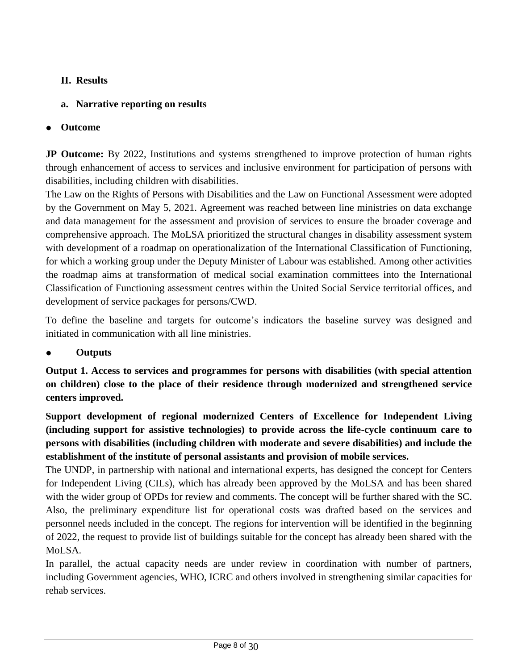## **II. Results**

# **a. Narrative reporting on results**

# **Outcome**

**JP Outcome:** By 2022, Institutions and systems strengthened to improve protection of human rights through enhancement of access to services and inclusive environment for participation of persons with disabilities, including children with disabilities.

The Law on the Rights of Persons with Disabilities and the Law on Functional Assessment were adopted by the Government on May 5, 2021. Agreement was reached between line ministries on data exchange and data management for the assessment and provision of services to ensure the broader coverage and comprehensive approach. The MoLSA prioritized the structural changes in disability assessment system with development of a roadmap on operationalization of the International Classification of Functioning, for which a working group under the Deputy Minister of Labour was established. Among other activities the roadmap aims at transformation of medical social examination committees into the International Classification of Functioning assessment centres within the United Social Service territorial offices, and development of service packages for persons/CWD.

To define the baseline and targets for outcome's indicators the baseline survey was designed and initiated in communication with all line ministries.

## ● **Outputs**

**Output 1. Access to services and programmes for persons with disabilities (with special attention on children) close to the place of their residence through modernized and strengthened service centers improved.**

**Support development of regional modernized Centers of Excellence for Independent Living (including support for assistive technologies) to provide across the life-cycle continuum care to persons with disabilities (including children with moderate and severe disabilities) and include the establishment of the institute of personal assistants and provision of mobile services.**

The UNDP, in partnership with national and international experts, has designed the concept for Centers for Independent Living (CILs), which has already been approved by the MoLSA and has been shared with the wider group of OPDs for review and comments. The concept will be further shared with the SC. Also, the preliminary expenditure list for operational costs was drafted based on the services and personnel needs included in the concept. The regions for intervention will be identified in the beginning of 2022, the request to provide list of buildings suitable for the concept has already been shared with the MoLSA.

In parallel, the actual capacity needs are under review in coordination with number of partners, including Government agencies, WHO, ICRC and others involved in strengthening similar capacities for rehab services.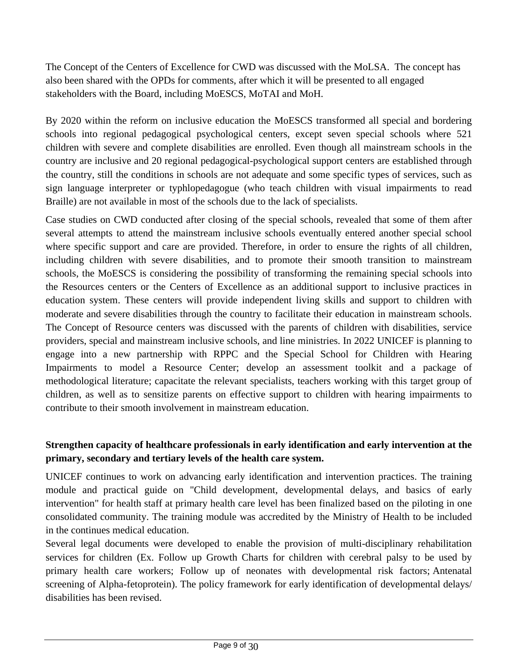The Concept of the Centers of Excellence for CWD was discussed with the MoLSA. The concept has also been shared with the OPDs for comments, after which it will be presented to all engaged stakeholders with the Board, including MoESCS, MoTAI and MoH.

By 2020 within the reform on inclusive education the MoESCS transformed all special and bordering schools into regional pedagogical psychological centers, except seven special schools where 521 children with severe and complete disabilities are enrolled. Even though all mainstream schools in the country are inclusive and 20 regional pedagogical-psychological support centers are established through the country, still the conditions in schools are not adequate and some specific types of services, such as sign language interpreter or typhlopedagogue (who teach children with visual impairments to read Braille) are not available in most of the schools due to the lack of specialists.

Case studies on CWD conducted after closing of the special schools, revealed that some of them after several attempts to attend the mainstream inclusive schools eventually entered another special school where specific support and care are provided. Therefore, in order to ensure the rights of all children, including children with severe disabilities, and to promote their smooth transition to mainstream schools, the MoESCS is considering the possibility of transforming the remaining special schools into the Resources centers or the Centers of Excellence as an additional support to inclusive practices in education system. These centers will provide independent living skills and support to children with moderate and severe disabilities through the country to facilitate their education in mainstream schools. The Concept of Resource centers was discussed with the parents of children with disabilities, service providers, special and mainstream inclusive schools, and line ministries. In 2022 UNICEF is planning to engage into a new partnership with RPPC and the Special School for Children with Hearing Impairments to model a Resource Center; develop an assessment toolkit and a package of methodological literature; capacitate the relevant specialists, teachers working with this target group of children, as well as to sensitize parents on effective support to children with hearing impairments to contribute to their smooth involvement in mainstream education.

## **Strengthen capacity of healthcare professionals in early identification and early intervention at the primary, secondary and tertiary levels of the health care system.**

UNICEF continues to work on advancing early identification and intervention practices. The training module and practical guide on "Child development, developmental delays, and basics of early intervention" for health staff at primary health care level has been finalized based on the piloting in one consolidated community. The training module was accredited by the Ministry of Health to be included in the continues medical education.

Several legal documents were developed to enable the provision of multi-disciplinary rehabilitation services for children (Ex. Follow up Growth Charts for children with cerebral palsy to be used by primary health care workers; Follow up of neonates with developmental risk factors; Antenatal screening of Alpha-fetoprotein). The policy framework for early identification of developmental delays/ disabilities has been revised.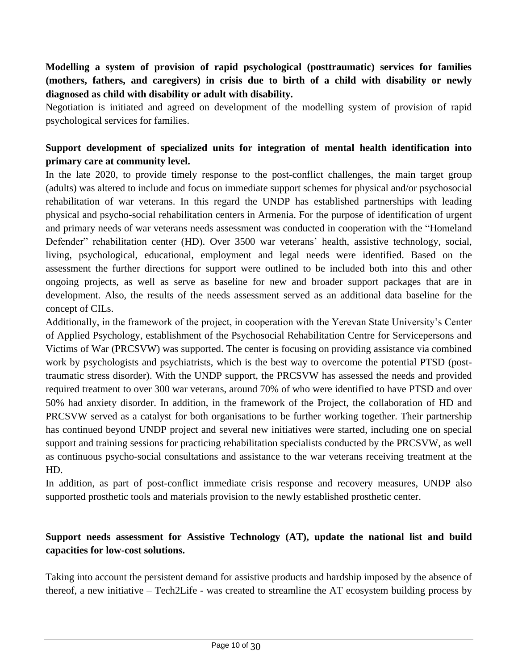## **Modelling a system of provision of rapid psychological (posttraumatic) services for families (mothers, fathers, and caregivers) in crisis due to birth of a child with disability or newly diagnosed as child with disability or adult with disability.**

Negotiation is initiated and agreed on development of the modelling system of provision of rapid psychological services for families.

#### **Support development of specialized units for integration of mental health identification into primary care at community level.**

In the late 2020, to provide timely response to the post-conflict challenges, the main target group (adults) was altered to include and focus on immediate support schemes for physical and/or psychosocial rehabilitation of war veterans. In this regard the UNDP has established partnerships with leading physical and psycho-social rehabilitation centers in Armenia. For the purpose of identification of urgent and primary needs of war veterans needs assessment was conducted in cooperation with the "Homeland Defender" rehabilitation center (HD). Over 3500 war veterans' health, assistive technology, social, living, psychological, educational, employment and legal needs were identified. Based on the assessment the further directions for support were outlined to be included both into this and other ongoing projects, as well as serve as baseline for new and broader support packages that are in development. Also, the results of the needs assessment served as an additional data baseline for the concept of CILs.

Additionally, in the framework of the project, in cooperation with the Yerevan State University's Center of Applied Psychology, establishment of the Psychosocial Rehabilitation Centre for Servicepersons and Victims of War (PRCSVW) was supported. The center is focusing on providing assistance via combined work by psychologists and psychiatrists, which is the best way to overcome the potential PTSD (posttraumatic stress disorder). With the UNDP support, the PRCSVW has assessed the needs and provided required treatment to over 300 war veterans, around 70% of who were identified to have PTSD and over 50% had anxiety disorder. In addition, in the framework of the Project, the collaboration of HD and PRCSVW served as a catalyst for both organisations to be further working together. Their partnership has continued beyond UNDP project and several new initiatives were started, including one on special support and training sessions for practicing rehabilitation specialists conducted by the PRCSVW, as well as continuous psycho-social consultations and assistance to the war veterans receiving treatment at the HD.

In addition, as part of post-conflict immediate crisis response and recovery measures, UNDP also supported prosthetic tools and materials provision to the newly established prosthetic center.

#### **Support needs assessment for Assistive Technology (AT), update the national list and build capacities for low-cost solutions.**

Taking into account the persistent demand for assistive products and hardship imposed by the absence of thereof, a new initiative – Tech2Life - was created to streamline the AT ecosystem building process by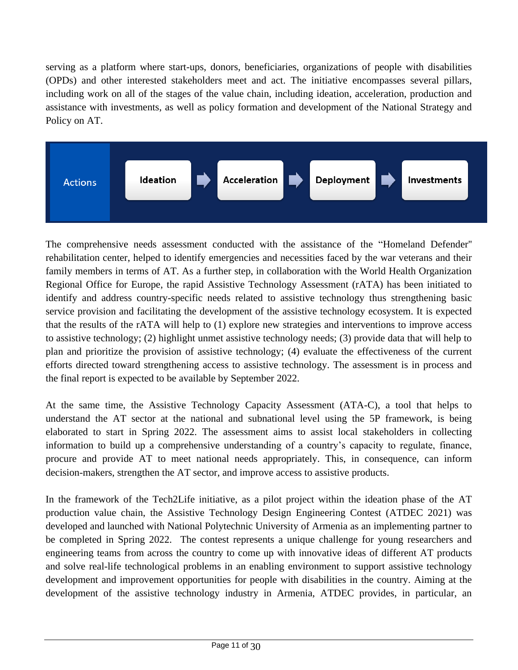serving as a platform where start-ups, donors, beneficiaries, organizations of people with disabilities (OPDs) and other interested stakeholders meet and act. The initiative encompasses several pillars, including work on all of the stages of the value chain, including ideation, acceleration, production and assistance with investments, as well as policy formation and development of the National Strategy and Policy on AT.



The comprehensive needs assessment conducted with the assistance of the "Homeland Defender'' rehabilitation center, helped to identify emergencies and necessities faced by the war veterans and their family members in terms of AT. As a further step, in collaboration with the World Health Organization Regional Office for Europe, the rapid Assistive Technology Assessment (rATA) has been initiated to identify and address country-specific needs related to assistive technology thus strengthening basic service provision and facilitating the development of the assistive technology ecosystem. It is expected that the results of the rATA will help to (1) explore new strategies and interventions to improve access to assistive technology; (2) highlight unmet assistive technology needs; (3) provide data that will help to plan and prioritize the provision of assistive technology; (4) evaluate the effectiveness of the current efforts directed toward strengthening access to assistive technology. The assessment is in process and the final report is expected to be available by September 2022.

At the same time, the Assistive Technology Capacity Assessment (ATA-C), a tool that helps to understand the AT sector at the national and subnational level using the 5P framework, is being elaborated to start in Spring 2022. The assessment aims to assist local stakeholders in collecting information to build up a comprehensive understanding of a country's capacity to regulate, finance, procure and provide AT to meet national needs appropriately. This, in consequence, can inform decision-makers, strengthen the AT sector, and improve access to assistive products.

In the framework of the Tech2Life initiative, as a pilot project within the ideation phase of the AT production value chain, the Assistive Technology Design Engineering Contest (ATDEC 2021) was developed and launched with National Polytechnic University of Armenia as an implementing partner to be completed in Spring 2022. The contest represents a unique challenge for young researchers and engineering teams from across the country to come up with innovative ideas of different AT products and solve real-life technological problems in an enabling environment to support assistive technology development and improvement opportunities for people with disabilities in the country. Aiming at the development of the assistive technology industry in Armenia, ATDEC provides, in particular, an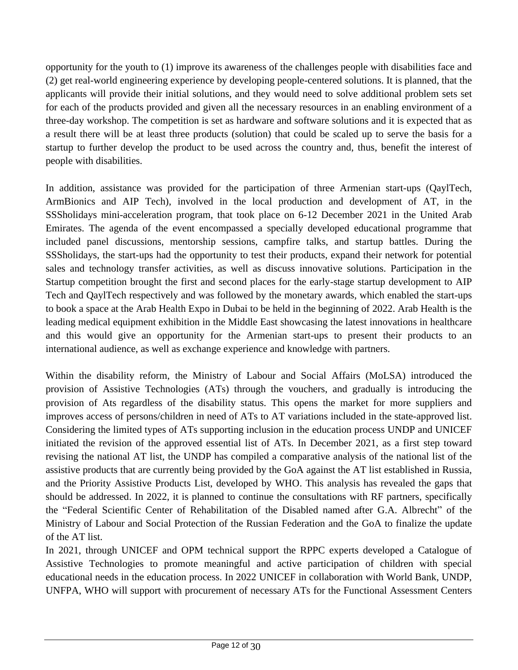opportunity for the youth to (1) improve its awareness of the challenges people with disabilities face and (2) get real-world engineering experience by developing people-centered solutions. It is planned, that the applicants will provide their initial solutions, and they would need to solve additional problem sets set for each of the products provided and given all the necessary resources in an enabling environment of a three-day workshop. The competition is set as hardware and software solutions and it is expected that as a result there will be at least three products (solution) that could be scaled up to serve the basis for a startup to further develop the product to be used across the country and, thus, benefit the interest of people with disabilities.

In addition, assistance was provided for the participation of three Armenian start-ups (QaylTech, ArmBionics and AIP Tech), involved in the local production and development of AT, in the SSSholidays mini-acceleration program, that took place on 6-12 December 2021 in the United Arab Emirates. The agenda of the event encompassed a specially developed educational programme that included panel discussions, mentorship sessions, campfire talks, and startup battles. During the SSSholidays, the start-ups had the opportunity to test their products, expand their network for potential sales and technology transfer activities, as well as discuss innovative solutions. Participation in the Startup competition brought the first and second places for the early-stage startup development to AIP Tech and QaylTech respectively and was followed by the monetary awards, which enabled the start-ups to book a space at the Arab Health Expo in Dubai to be held in the beginning of 2022. Arab Health is the leading medical equipment exhibition in the Middle East showcasing the latest innovations in healthcare and this would give an opportunity for the Armenian start-ups to present their products to an international audience, as well as exchange experience and knowledge with partners.

Within the disability reform, the Ministry of Labour and Social Affairs (MoLSA) introduced the provision of Assistive Technologies (ATs) through the vouchers, and gradually is introducing the provision of Ats regardless of the disability status. This opens the market for more suppliers and improves access of persons/children in need of ATs to AT variations included in the state-approved list. Considering the limited types of ATs supporting inclusion in the education process UNDP and UNICEF initiated the revision of the approved essential list of ATs. In December 2021, as a first step toward revising the national AT list, the UNDP has compiled a comparative analysis of the national list of the assistive products that are currently being provided by the GoA against the AT list established in Russia, and the Priority Assistive Products List, developed by WHO. This analysis has revealed the gaps that should be addressed. In 2022, it is planned to continue the consultations with RF partners, specifically the "Federal Scientific Center of Rehabilitation of the Disabled named after G.A. Albrecht" of the Ministry of Labour and Social Protection of the Russian Federation and the GoA to finalize the update of the AT list.

In 2021, through UNICEF and OPM technical support the RPPC experts developed a Catalogue of Assistive Technologies to promote meaningful and active participation of children with special educational needs in the education process. In 2022 UNICEF in collaboration with World Bank, UNDP, UNFPA, WHO will support with procurement of necessary ATs for the Functional Assessment Centers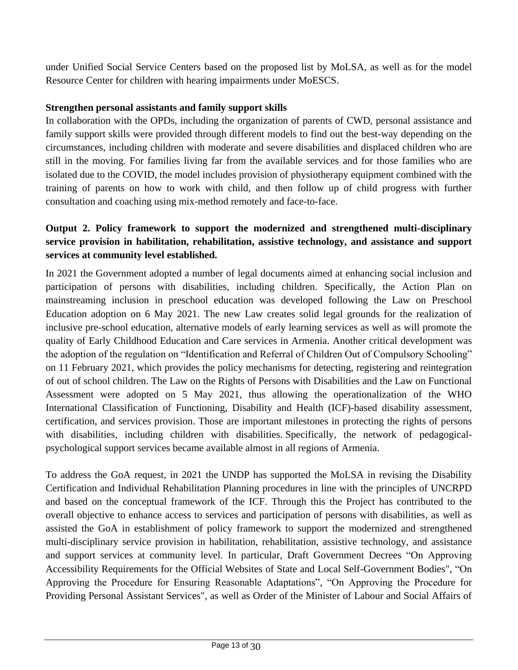under Unified Social Service Centers based on the proposed list by MoLSA, as well as for the model Resource Center for children with hearing impairments under MoESCS.

#### **Strengthen personal assistants and family support skills**

In collaboration with the OPDs, including the organization of parents of CWD, personal assistance and family support skills were provided through different models to find out the best-way depending on the circumstances, including children with moderate and severe disabilities and displaced children who are still in the moving. For families living far from the available services and for those families who are isolated due to the COVID, the model includes provision of physiotherapy equipment combined with the training of parents on how to work with child, and then follow up of child progress with further consultation and coaching using mix-method remotely and face-to-face.

## **Output 2. Policy framework to support the modernized and strengthened multi-disciplinary service provision in habilitation, rehabilitation, assistive technology, and assistance and support services at community level established.**

In 2021 the Government adopted a number of legal documents aimed at enhancing social inclusion and participation of persons with disabilities, including children. Specifically, the Action Plan on mainstreaming inclusion in preschool education was developed following the Law on Preschool Education adoption on 6 May 2021. The new Law creates solid legal grounds for the realization of inclusive pre-school education, alternative models of early learning services as well as will promote the quality of Early Childhood Education and Care services in Armenia. Another critical development was the adoption of the regulation on "Identification and Referral of Children Out of Compulsory Schooling" on 11 February 2021, which provides the policy mechanisms for detecting, registering and reintegration of out of school children. The Law on the Rights of Persons with Disabilities and the Law on Functional Assessment were adopted on 5 May 2021, thus allowing the operationalization of the WHO International Classification of Functioning, Disability and Health (ICF)-based disability assessment, certification, and services provision. Those are important milestones in protecting the rights of persons with disabilities, including children with disabilities. Specifically, the network of pedagogicalpsychological support services became available almost in all regions of Armenia.

To address the GoA request, in 2021 the UNDP has supported the MoLSA in revising the Disability Certification and Individual Rehabilitation Planning procedures in line with the principles of UNCRPD and based on the conceptual framework of the ICF. Through this the Project has contributed to the overall objective to enhance access to services and participation of persons with disabilities, as well as assisted the GoA in establishment of policy framework to support the modernized and strengthened multi-disciplinary service provision in habilitation, rehabilitation, assistive technology, and assistance and support services at community level. In particular, Draft Government Decrees "On Approving Accessibility Requirements for the Official Websites of State and Local Self-Government Bodies", "On Approving the Procedure for Ensuring Reasonable Adaptations", "On Approving the Procedure for Providing Personal Assistant Services", as well as Order of the Minister of Labour and Social Affairs of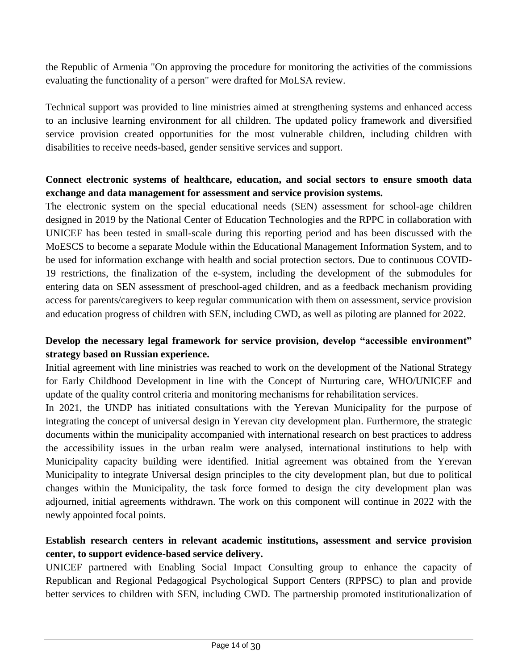the Republic of Armenia "On approving the procedure for monitoring the activities of the commissions evaluating the functionality of a person" were drafted for MoLSA review.

Technical support was provided to line ministries aimed at strengthening systems and enhanced access to an inclusive learning environment for all children. The updated policy framework and diversified service provision created opportunities for the most vulnerable children, including children with disabilities to receive needs-based, gender sensitive services and support.

#### **Connect electronic systems of healthcare, education, and social sectors to ensure smooth data exchange and data management for assessment and service provision systems.**

The electronic system on the special educational needs (SEN) assessment for school-age children designed in 2019 by the National Center of Education Technologies and the RPPC in collaboration with UNICEF has been tested in small-scale during this reporting period and has been discussed with the MoESCS to become a separate Module within the Educational Management Information System, and to be used for information exchange with health and social protection sectors. Due to continuous COVID-19 restrictions, the finalization of the e-system, including the development of the submodules for entering data on SEN assessment of preschool-aged children, and as a feedback mechanism providing access for parents/caregivers to keep regular communication with them on assessment, service provision and education progress of children with SEN, including CWD, as well as piloting are planned for 2022.

## **Develop the necessary legal framework for service provision, develop "accessible environment" strategy based on Russian experience.**

Initial agreement with line ministries was reached to work on the development of the National Strategy for Early Childhood Development in line with the Concept of Nurturing care, WHO/UNICEF and update of the quality control criteria and monitoring mechanisms for rehabilitation services.

In 2021, the UNDP has initiated consultations with the Yerevan Municipality for the purpose of integrating the concept of universal design in Yerevan city development plan. Furthermore, the strategic documents within the municipality accompanied with international research on best practices to address the accessibility issues in the urban realm were analysed, international institutions to help with Municipality capacity building were identified. Initial agreement was obtained from the Yerevan Municipality to integrate Universal design principles to the city development plan, but due to political changes within the Municipality, the task force formed to design the city development plan was adjourned, initial agreements withdrawn. The work on this component will continue in 2022 with the newly appointed focal points.

## **Establish research centers in relevant academic institutions, assessment and service provision center, to support evidence-based service delivery.**

UNICEF partnered with Enabling Social Impact Consulting group to enhance the capacity of Republican and Regional Pedagogical Psychological Support Centers (RPPSC) to plan and provide better services to children with SEN, including CWD. The partnership promoted institutionalization of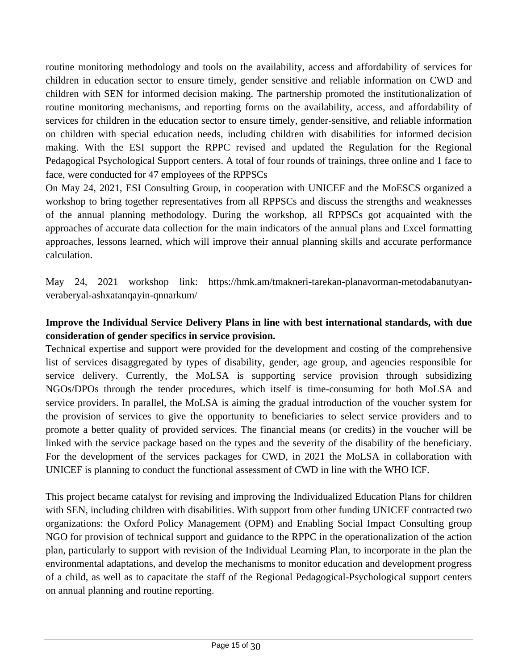routine monitoring methodology and tools on the availability, access and affordability of services for children in education sector to ensure timely, gender sensitive and reliable information on CWD and children with SEN for informed decision making. The partnership promoted the institutionalization of routine monitoring mechanisms, and reporting forms on the availability, access, and affordability of services for children in the education sector to ensure timely, gender-sensitive, and reliable information on children with special education needs, including children with disabilities for informed decision making. With the ESI support the RPPC revised and updated the Regulation for the Regional Pedagogical Psychological Support centers. A total of four rounds of trainings, three online and 1 face to face, were conducted for 47 employees of the RPPSCs

On May 24, 2021, ESI Consulting Group, in cooperation with UNICEF and the MoESCS organized a workshop to bring together representatives from all RPPSCs and discuss the strengths and weaknesses of the annual planning methodology. During the workshop, all RPPSCs got acquainted with the approaches of accurate data collection for the main indicators of the annual plans and Excel formatting approaches, lessons learned, which will improve their annual planning skills and accurate performance calculation.

May 24, 2021 workshop link: [https://hmk.am/tmakneri-tarekan-planavorman-metodabanutyan](https://hmk.am/tmakneri-tarekan-planavorman-metodabanutyan-veraberyal-ashxatanqayin-qnnarkum/)[veraberyal-ashxatanqayin-qnnarkum/](https://hmk.am/tmakneri-tarekan-planavorman-metodabanutyan-veraberyal-ashxatanqayin-qnnarkum/)

## **Improve the Individual Service Delivery Plans in line with best international standards, with due consideration of gender specifics in service provision.**

Technical expertise and support were provided for the development and costing of the comprehensive list of services disaggregated by types of disability, gender, age group, and agencies responsible for service delivery. Currently, the MoLSA is supporting service provision through subsidizing NGOs/DPOs through the tender procedures, which itself is time-consuming for both MoLSA and service providers. In parallel, the MoLSA is aiming the gradual introduction of the voucher system for the provision of services to give the opportunity to beneficiaries to select service providers and to promote a better quality of provided services. The financial means (or credits) in the voucher will be linked with the service package based on the types and the severity of the disability of the beneficiary. For the development of the services packages for CWD, in 2021 the MoLSA in collaboration with UNICEF is planning to conduct the functional assessment of CWD in line with the WHO ICF.

This project became catalyst for revising and improving the Individualized Education Plans for children with SEN, including children with disabilities. With support from other funding UNICEF contracted two organizations: the Oxford Policy Management (OPM) and Enabling Social Impact Consulting group NGO for provision of technical support and guidance to the RPPC in the operationalization of the action plan, particularly to support with revision of the Individual Learning Plan, to incorporate in the plan the environmental adaptations, and develop the mechanisms to monitor education and development progress of a child, as well as to capacitate the staff of the Regional Pedagogical-Psychological support centers on annual planning and routine reporting.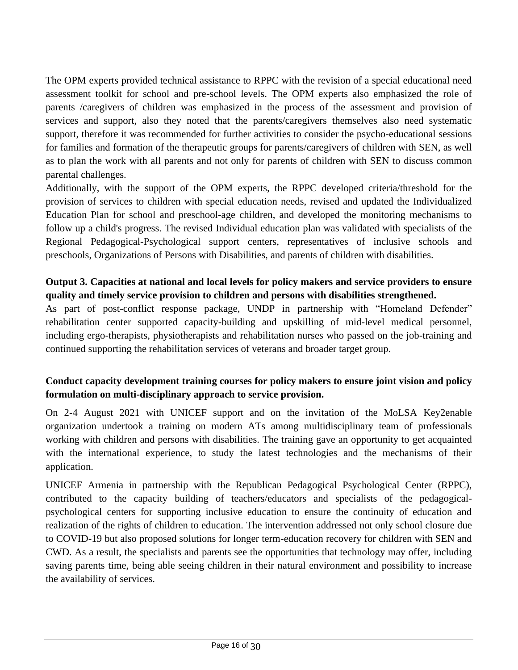The OPM experts provided technical assistance to RPPC with the revision of a special educational need assessment toolkit for school and pre-school levels. The OPM experts also emphasized the role of parents /caregivers of children was emphasized in the process of the assessment and provision of services and support, also they noted that the parents/caregivers themselves also need systematic support, therefore it was recommended for further activities to consider the psycho-educational sessions for families and formation of the therapeutic groups for parents/caregivers of children with SEN, as well as to plan the work with all parents and not only for parents of children with SEN to discuss common parental challenges.

Additionally, with the support of the OPM experts, the RPPC developed criteria/threshold for the provision of services to children with special education needs, revised and updated the Individualized Education Plan for school and preschool-age children, and developed the monitoring mechanisms to follow up a child's progress. The revised Individual education plan was validated with specialists of the Regional Pedagogical-Psychological support centers, representatives of inclusive schools and preschools, Organizations of Persons with Disabilities, and parents of children with disabilities.

## **Output 3. Capacities at national and local levels for policy makers and service providers to ensure quality and timely service provision to children and persons with disabilities strengthened.**

As part of post-conflict response package, UNDP in partnership with "Homeland Defender" rehabilitation center supported capacity-building and upskilling of mid-level medical personnel, including ergo-therapists, physiotherapists and rehabilitation nurses who passed on the job-training and continued supporting the rehabilitation services of veterans and broader target group.

## **Conduct capacity development training courses for policy makers to ensure joint vision and policy formulation on multi-disciplinary approach to service provision.**

On 2-4 August 2021 with UNICEF support and on the invitation of the MoLSA Key2enable organization undertook a training on modern ATs among multidisciplinary team of professionals working with children and persons with disabilities. The training gave an opportunity to get acquainted with the international experience, to study the latest technologies and the mechanisms of their application.

UNICEF Armenia in partnership with the Republican Pedagogical Psychological Center (RPPC), contributed to the capacity building of teachers/educators and specialists of the pedagogicalpsychological centers for supporting inclusive education to ensure the continuity of education and realization of the rights of children to education. The intervention addressed not only school closure due to COVID-19 but also proposed solutions for longer term-education recovery for children with SEN and CWD. As a result, the specialists and parents see the opportunities that technology may offer, including saving parents time, being able seeing children in their natural environment and possibility to increase the availability of services.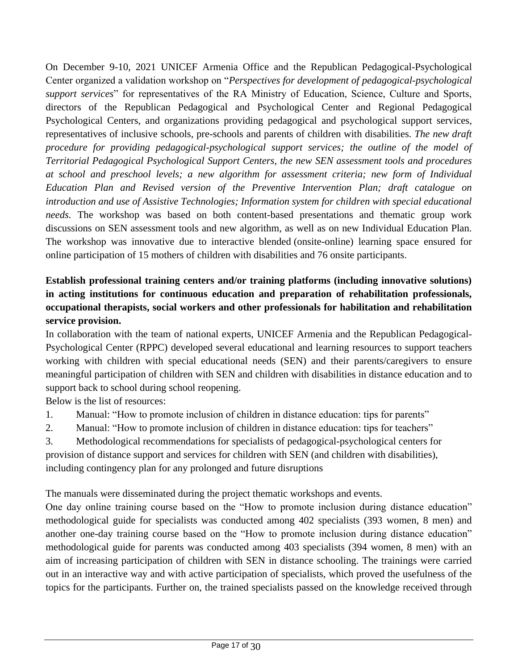On December 9-10, 2021 UNICEF Armenia Office and the Republican Pedagogical-Psychological Center organized a validation workshop on "*Perspectives for development of pedagogical-psychological support services*" for representatives of the RA Ministry of Education, Science, Culture and Sports, directors of the Republican Pedagogical and Psychological Center and Regional Pedagogical Psychological Centers, and organizations providing pedagogical and psychological support services, representatives of inclusive schools, pre-schools and parents of children with disabilities. *The new draft procedure for providing pedagogical-psychological support services; the outline of the model of Territorial Pedagogical Psychological Support Centers, the new SEN assessment tools and procedures at school and preschool levels; a new algorithm for assessment criteria; new form of Individual Education Plan and Revised version of the Preventive Intervention Plan; draft catalogue on introduction and use of Assistive Technologies; Information system for children with special educational needs.* The workshop was based on both content-based presentations and thematic group work discussions on SEN assessment tools and new algorithm, as well as on new Individual Education Plan. The workshop was innovative due to interactive blended (onsite-online) learning space ensured for online participation of 15 mothers of children with disabilities and 76 onsite participants.

# **Establish professional training centers and/or training platforms (including innovative solutions) in acting institutions for continuous education and preparation of rehabilitation professionals, occupational therapists, social workers and other professionals for habilitation and rehabilitation service provision.**

In collaboration with the team of national experts, UNICEF Armenia and the Republican Pedagogical-Psychological Center (RPPC) developed several educational and learning resources to support teachers working with children with special educational needs (SEN) and their parents/caregivers to ensure meaningful participation of children with SEN and children with disabilities in distance education and to support back to school during school reopening.

Below is the list of resources:

- 1. Manual: "How to promote inclusion of children in distance education: tips for parents"
- 2. Manual: "How to promote inclusion of children in distance education: tips for teachers"
- 3. Methodological recommendations for specialists of pedagogical-psychological centers for provision of distance support and services for children with SEN (and children with disabilities), including contingency plan for any prolonged and future disruptions

The manuals were disseminated during the project thematic workshops and events.

One day online training course based on the "How to promote inclusion during distance education" methodological guide for specialists was conducted among 402 specialists (393 women, 8 men) and another one-day training course based on the "How to promote inclusion during distance education" methodological guide for parents was conducted among 403 specialists (394 women, 8 men) with an aim of increasing participation of children with SEN in distance schooling. The trainings were carried out in an interactive way and with active participation of specialists, which proved the usefulness of the topics for the participants. Further on, the trained specialists passed on the knowledge received through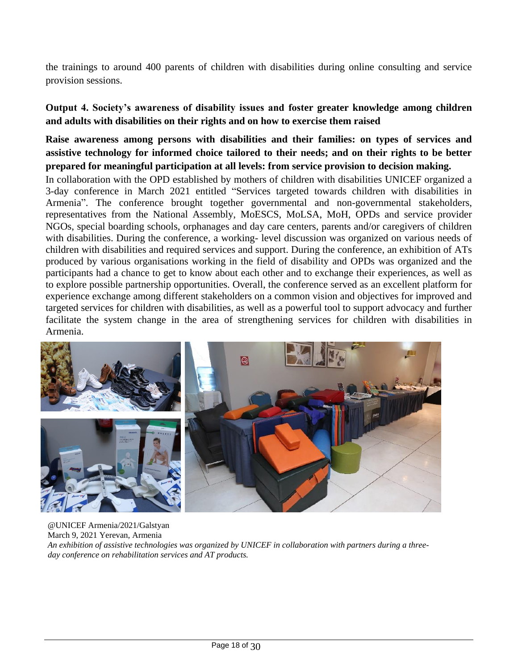the trainings to around 400 parents of children with disabilities during online consulting and service provision sessions.

#### **Output 4. Society's awareness of disability issues and foster greater knowledge among children and adults with disabilities on their rights and on how to exercise them raised**

**Raise awareness among persons with disabilities and their families: on types of services and assistive technology for informed choice tailored to their needs; and on their rights to be better prepared for meaningful participation at all levels: from service provision to decision making.**

In collaboration with the OPD established by mothers of children with disabilities UNICEF organized a 3-day conference in March 2021 entitled "Services targeted towards children with disabilities in Armenia". The conference brought together governmental and non-governmental stakeholders, representatives from the National Assembly, MoESCS, MoLSA, MoH, OPDs and service provider NGOs, special boarding schools, orphanages and day care centers, parents and/or caregivers of children with disabilities. During the conference, a working- level discussion was organized on various needs of children with disabilities and required services and support. During the conference, an exhibition of ATs produced by various organisations working in the field of disability and OPDs was organized and the participants had a chance to get to know about each other and to exchange their experiences, as well as to explore possible partnership opportunities. Overall, the conference served as an excellent platform for experience exchange among different stakeholders on a common vision and objectives for improved and targeted services for children with disabilities, as well as a powerful tool to support advocacy and further facilitate the system change in the area of strengthening services for children with disabilities in Armenia.



@UNICEF Armenia/2021/Galstyan March 9, 2021 Yerevan, Armenia *An exhibition of assistive technologies was organized by UNICEF in collaboration with partners during a threeday conference on rehabilitation services and AT products.*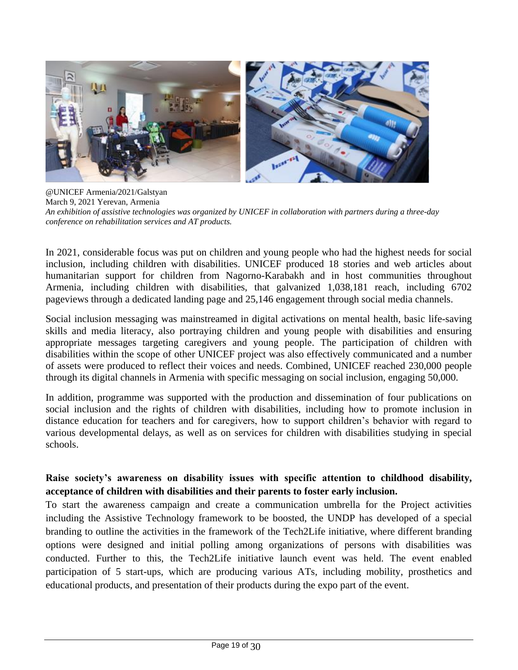

@UNICEF Armenia/2021/Galstyan March 9, 2021 Yerevan, Armenia *An exhibition of assistive technologies was organized by UNICEF in collaboration with partners during a three-day conference on rehabilitation services and AT products.*

In 2021, considerable focus was put on children and young people who had the highest needs for social inclusion, including children with disabilities. UNICEF produced 18 stories and web articles about humanitarian support for children from Nagorno-Karabakh and in host communities throughout Armenia, including children with disabilities, that galvanized 1,038,181 reach, including 6702 pageviews through a dedicated landing page and 25,146 engagement through social media channels.

Social inclusion messaging was mainstreamed in digital activations on mental health, basic life-saving skills and media literacy, also portraying children and young people with disabilities and ensuring appropriate messages targeting caregivers and young people. The participation of children with disabilities within the scope of other UNICEF project was also effectively communicated and a number of assets were produced to reflect their voices and needs. Combined, UNICEF reached 230,000 people through its digital channels in Armenia with specific messaging on social inclusion, engaging 50,000.

In addition, programme was supported with the production and dissemination of four publications on social inclusion and the rights of children with disabilities, including how to promote inclusion in distance education for teachers and for caregivers, how to support children's behavior with regard to various developmental delays, as well as on services for children with disabilities studying in special schools.

## **Raise society's awareness on disability issues with specific attention to childhood disability, acceptance of children with disabilities and their parents to foster early inclusion.**

To start the awareness campaign and create a communication umbrella for the Project activities including the Assistive Technology framework to be boosted, the UNDP has developed of a special branding to outline the activities in the framework of the Tech2Life initiative, where different branding options were designed and initial polling among organizations of persons with disabilities was conducted. Further to this, the Tech2Life initiative launch event was held. The event enabled participation of 5 start-ups, which are producing various ATs, including mobility, prosthetics and educational products, and presentation of their products during the expo part of the event.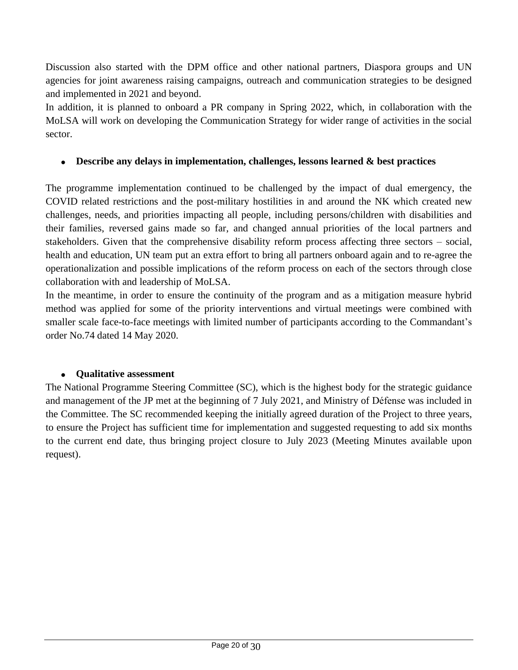Discussion also started with the DPM office and other national partners, Diaspora groups and UN agencies for joint awareness raising campaigns, outreach and communication strategies to be designed and implemented in 2021 and beyond.

In addition, it is planned to onboard a PR company in Spring 2022, which, in collaboration with the MoLSA will work on developing the Communication Strategy for wider range of activities in the social sector.

#### • **Describe any delays in implementation, challenges, lessons learned & best practices**

The programme implementation continued to be challenged by the impact of dual emergency, the COVID related restrictions and the post-military hostilities in and around the NK which created new challenges, needs, and priorities impacting all people, including persons/children with disabilities and their families, reversed gains made so far, and changed annual priorities of the local partners and stakeholders. Given that the comprehensive disability reform process affecting three sectors – social, health and education, UN team put an extra effort to bring all partners onboard again and to re-agree the operationalization and possible implications of the reform process on each of the sectors through close collaboration with and leadership of MoLSA.

In the meantime, in order to ensure the continuity of the program and as a mitigation measure hybrid method was applied for some of the priority interventions and virtual meetings were combined with smaller scale face-to-face meetings with limited number of participants according to the Commandant's order No.74 dated 14 May 2020.

#### • **Qualitative assessment**

The National Programme Steering Committee (SC), which is the highest body for the strategic guidance and management of the JP met at the beginning of 7 July 2021, and Ministry of Défense was included in the Committee. The SC recommended keeping the initially agreed duration of the Project to three years, to ensure the Project has sufficient time for implementation and suggested requesting to add six months to the current end date, thus bringing project closure to July 2023 (Meeting Minutes available upon request).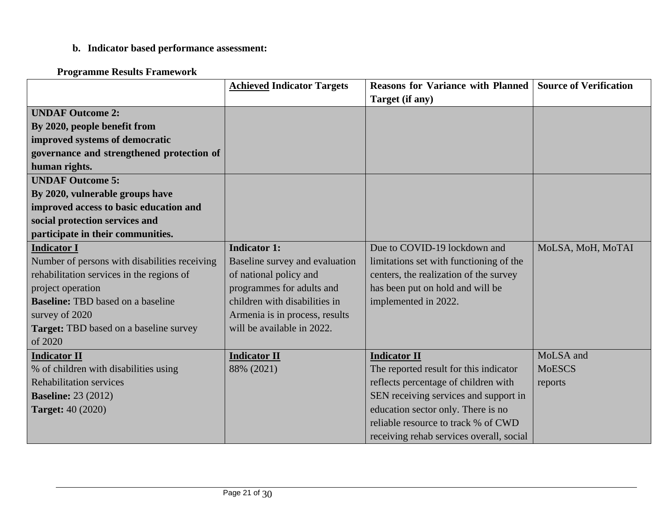# **b. Indicator based performance assessment:**

# **Programme Results Framework**

|                                               | <b>Achieved Indicator Targets</b> | <b>Reasons for Variance with Planned Source of Verification</b> |                   |
|-----------------------------------------------|-----------------------------------|-----------------------------------------------------------------|-------------------|
|                                               |                                   | Target (if any)                                                 |                   |
| <b>UNDAF Outcome 2:</b>                       |                                   |                                                                 |                   |
| By 2020, people benefit from                  |                                   |                                                                 |                   |
| improved systems of democratic                |                                   |                                                                 |                   |
| governance and strengthened protection of     |                                   |                                                                 |                   |
| human rights.                                 |                                   |                                                                 |                   |
| <b>UNDAF Outcome 5:</b>                       |                                   |                                                                 |                   |
| By 2020, vulnerable groups have               |                                   |                                                                 |                   |
| improved access to basic education and        |                                   |                                                                 |                   |
| social protection services and                |                                   |                                                                 |                   |
| participate in their communities.             |                                   |                                                                 |                   |
| <b>Indicator I</b>                            | <b>Indicator 1:</b>               | Due to COVID-19 lockdown and                                    | MoLSA, MoH, MoTAI |
| Number of persons with disabilities receiving | Baseline survey and evaluation    | limitations set with functioning of the                         |                   |
| rehabilitation services in the regions of     | of national policy and            | centers, the realization of the survey                          |                   |
| project operation                             | programmes for adults and         | has been put on hold and will be                                |                   |
| <b>Baseline:</b> TBD based on a baseline      | children with disabilities in     | implemented in 2022.                                            |                   |
| survey of 2020                                | Armenia is in process, results    |                                                                 |                   |
| <b>Target:</b> TBD based on a baseline survey | will be available in 2022.        |                                                                 |                   |
| of 2020                                       |                                   |                                                                 |                   |
| <b>Indicator II</b>                           | <b>Indicator II</b>               | <b>Indicator II</b>                                             | MoLSA and         |
| % of children with disabilities using         | 88% (2021)                        | The reported result for this indicator                          | <b>MoESCS</b>     |
| <b>Rehabilitation services</b>                |                                   | reflects percentage of children with                            | reports           |
| <b>Baseline:</b> 23 (2012)                    |                                   | SEN receiving services and support in                           |                   |
| <b>Target:</b> 40 (2020)                      |                                   | education sector only. There is no                              |                   |
|                                               |                                   | reliable resource to track % of CWD                             |                   |
|                                               |                                   | receiving rehab services overall, social                        |                   |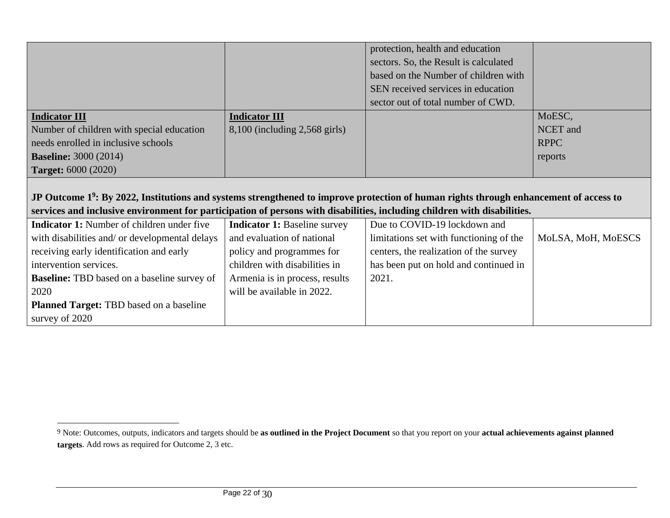|                                                                                                                                                                                                                                                                               |                                     | protection, health and education        |                    |
|-------------------------------------------------------------------------------------------------------------------------------------------------------------------------------------------------------------------------------------------------------------------------------|-------------------------------------|-----------------------------------------|--------------------|
|                                                                                                                                                                                                                                                                               |                                     | sectors. So, the Result is calculated   |                    |
|                                                                                                                                                                                                                                                                               |                                     | based on the Number of children with    |                    |
|                                                                                                                                                                                                                                                                               |                                     | SEN received services in education      |                    |
|                                                                                                                                                                                                                                                                               |                                     | sector out of total number of CWD.      |                    |
| <b>Indicator III</b>                                                                                                                                                                                                                                                          | <b>Indicator III</b>                |                                         | MoESC,             |
| Number of children with special education                                                                                                                                                                                                                                     | $8,100$ (including 2,568 girls)     |                                         | NCET and           |
| needs enrolled in inclusive schools                                                                                                                                                                                                                                           |                                     |                                         | <b>RPPC</b>        |
| <b>Baseline:</b> 3000 (2014)                                                                                                                                                                                                                                                  |                                     |                                         | reports            |
| <b>Target:</b> 6000 (2020)                                                                                                                                                                                                                                                    |                                     |                                         |                    |
|                                                                                                                                                                                                                                                                               |                                     |                                         |                    |
|                                                                                                                                                                                                                                                                               |                                     |                                         |                    |
| JP Outcome 1 <sup>9</sup> : By 2022, Institutions and systems strengthened to improve protection of human rights through enhancement of access to<br>services and inclusive environment for participation of persons with disabilities, including children with disabilities. |                                     |                                         |                    |
| <b>Indicator 1:</b> Number of children under five                                                                                                                                                                                                                             | <b>Indicator 1: Baseline survey</b> | Due to COVID-19 lockdown and            |                    |
| with disabilities and/ or developmental delays                                                                                                                                                                                                                                | and evaluation of national          | limitations set with functioning of the | MoLSA, MoH, MoESCS |
| receiving early identification and early                                                                                                                                                                                                                                      | policy and programmes for           | centers, the realization of the survey  |                    |
| intervention services.                                                                                                                                                                                                                                                        | children with disabilities in       | has been put on hold and continued in   |                    |
| <b>Baseline:</b> TBD based on a baseline survey of                                                                                                                                                                                                                            | Armenia is in process, results      | 2021.                                   |                    |
| 2020                                                                                                                                                                                                                                                                          | will be available in 2022.          |                                         |                    |
| <b>Planned Target: TBD</b> based on a baseline                                                                                                                                                                                                                                |                                     |                                         |                    |

<sup>9</sup> Note: Outcomes, outputs, indicators and targets should be **as outlined in the Project Document** so that you report on your **actual achievements against planned targets**. Add rows as required for Outcome 2, 3 etc.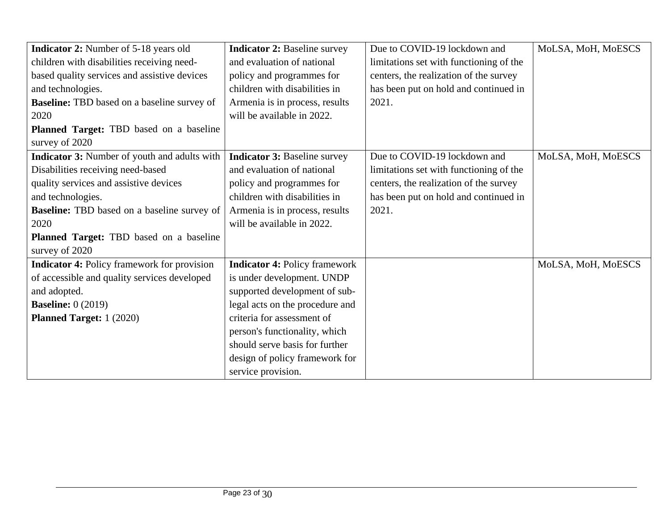| <b>Indicator 2:</b> Number of 5-18 years old        | <b>Indicator 2: Baseline survey</b>  | Due to COVID-19 lockdown and            | MoLSA, MoH, MoESCS |
|-----------------------------------------------------|--------------------------------------|-----------------------------------------|--------------------|
| children with disabilities receiving need-          | and evaluation of national           | limitations set with functioning of the |                    |
| based quality services and assistive devices        | policy and programmes for            | centers, the realization of the survey  |                    |
| and technologies.                                   | children with disabilities in        | has been put on hold and continued in   |                    |
| <b>Baseline:</b> TBD based on a baseline survey of  | Armenia is in process, results       | 2021.                                   |                    |
| 2020                                                | will be available in 2022.           |                                         |                    |
| Planned Target: TBD based on a baseline             |                                      |                                         |                    |
| survey of 2020                                      |                                      |                                         |                    |
| <b>Indicator 3:</b> Number of youth and adults with | <b>Indicator 3: Baseline survey</b>  | Due to COVID-19 lockdown and            | MoLSA, MoH, MoESCS |
| Disabilities receiving need-based                   | and evaluation of national           | limitations set with functioning of the |                    |
| quality services and assistive devices              | policy and programmes for            | centers, the realization of the survey  |                    |
| and technologies.                                   | children with disabilities in        | has been put on hold and continued in   |                    |
| <b>Baseline:</b> TBD based on a baseline survey of  | Armenia is in process, results       | 2021.                                   |                    |
| 2020                                                | will be available in 2022.           |                                         |                    |
| Planned Target: TBD based on a baseline             |                                      |                                         |                    |
| survey of 2020                                      |                                      |                                         |                    |
| <b>Indicator 4:</b> Policy framework for provision  | <b>Indicator 4: Policy framework</b> |                                         | MoLSA, MoH, MoESCS |
| of accessible and quality services developed        | is under development. UNDP           |                                         |                    |
| and adopted.                                        | supported development of sub-        |                                         |                    |
| <b>Baseline:</b> 0 (2019)                           | legal acts on the procedure and      |                                         |                    |
| <b>Planned Target:</b> 1 (2020)                     | criteria for assessment of           |                                         |                    |
|                                                     | person's functionality, which        |                                         |                    |
|                                                     | should serve basis for further       |                                         |                    |
|                                                     | design of policy framework for       |                                         |                    |
|                                                     | service provision.                   |                                         |                    |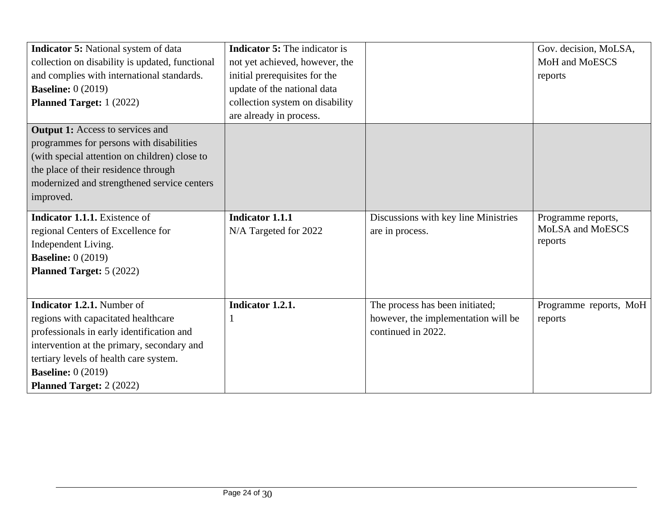| <b>Indicator 5:</b> National system of data     | <b>Indicator 5:</b> The indicator is |                                      | Gov. decision, MoLSA,   |
|-------------------------------------------------|--------------------------------------|--------------------------------------|-------------------------|
| collection on disability is updated, functional | not yet achieved, however, the       |                                      | MoH and MoESCS          |
| and complies with international standards.      | initial prerequisites for the        |                                      | reports                 |
| <b>Baseline:</b> 0 (2019)                       | update of the national data          |                                      |                         |
| <b>Planned Target:</b> 1 (2022)                 | collection system on disability      |                                      |                         |
|                                                 | are already in process.              |                                      |                         |
| <b>Output 1:</b> Access to services and         |                                      |                                      |                         |
| programmes for persons with disabilities        |                                      |                                      |                         |
| (with special attention on children) close to   |                                      |                                      |                         |
| the place of their residence through            |                                      |                                      |                         |
| modernized and strengthened service centers     |                                      |                                      |                         |
| improved.                                       |                                      |                                      |                         |
| <b>Indicator 1.1.1.</b> Existence of            | <b>Indicator 1.1.1</b>               | Discussions with key line Ministries | Programme reports,      |
| regional Centers of Excellence for              | N/A Targeted for 2022                | are in process.                      | <b>MoLSA</b> and MoESCS |
| Independent Living.                             |                                      |                                      | reports                 |
| <b>Baseline:</b> 0 (2019)                       |                                      |                                      |                         |
| <b>Planned Target: 5 (2022)</b>                 |                                      |                                      |                         |
|                                                 |                                      |                                      |                         |
| <b>Indicator 1.2.1.</b> Number of               | Indicator 1.2.1.                     | The process has been initiated;      | Programme reports, MoH  |
| regions with capacitated healthcare             |                                      | however, the implementation will be  | reports                 |
| professionals in early identification and       |                                      | continued in 2022.                   |                         |
| intervention at the primary, secondary and      |                                      |                                      |                         |
| tertiary levels of health care system.          |                                      |                                      |                         |
| <b>Baseline:</b> 0 (2019)                       |                                      |                                      |                         |
| <b>Planned Target: 2 (2022)</b>                 |                                      |                                      |                         |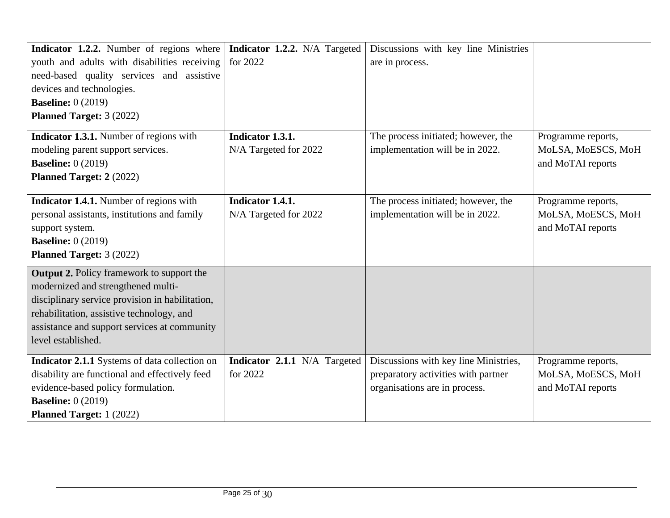| Indicator 1.2.2. Number of regions where         | Indicator 1.2.2. N/A Targeted | Discussions with key line Ministries  |                    |
|--------------------------------------------------|-------------------------------|---------------------------------------|--------------------|
| youth and adults with disabilities receiving     | for 2022                      | are in process.                       |                    |
| need-based quality services and assistive        |                               |                                       |                    |
| devices and technologies.                        |                               |                                       |                    |
| <b>Baseline:</b> 0 (2019)                        |                               |                                       |                    |
| <b>Planned Target: 3 (2022)</b>                  |                               |                                       |                    |
| <b>Indicator 1.3.1.</b> Number of regions with   | Indicator 1.3.1.              | The process initiated; however, the   | Programme reports, |
| modeling parent support services.                | N/A Targeted for 2022         | implementation will be in 2022.       | MoLSA, MoESCS, MoH |
| <b>Baseline: 0 (2019)</b>                        |                               |                                       | and MoTAI reports  |
| <b>Planned Target: 2 (2022)</b>                  |                               |                                       |                    |
| Indicator 1.4.1. Number of regions with          | Indicator 1.4.1.              | The process initiated; however, the   | Programme reports, |
| personal assistants, institutions and family     | N/A Targeted for 2022         | implementation will be in 2022.       | MoLSA, MoESCS, MoH |
| support system.                                  |                               |                                       | and MoTAI reports  |
| <b>Baseline:</b> 0 (2019)                        |                               |                                       |                    |
| <b>Planned Target: 3 (2022)</b>                  |                               |                                       |                    |
| <b>Output 2.</b> Policy framework to support the |                               |                                       |                    |
| modernized and strengthened multi-               |                               |                                       |                    |
| disciplinary service provision in habilitation,  |                               |                                       |                    |
| rehabilitation, assistive technology, and        |                               |                                       |                    |
| assistance and support services at community     |                               |                                       |                    |
| level established.                               |                               |                                       |                    |
| Indicator 2.1.1 Systems of data collection on    | Indicator 2.1.1 N/A Targeted  | Discussions with key line Ministries, | Programme reports, |
| disability are functional and effectively feed   | for 2022                      | preparatory activities with partner   | MoLSA, MoESCS, MoH |
| evidence-based policy formulation.               |                               | organisations are in process.         | and MoTAI reports  |
| <b>Baseline:</b> 0 (2019)                        |                               |                                       |                    |
| <b>Planned Target:</b> 1 (2022)                  |                               |                                       |                    |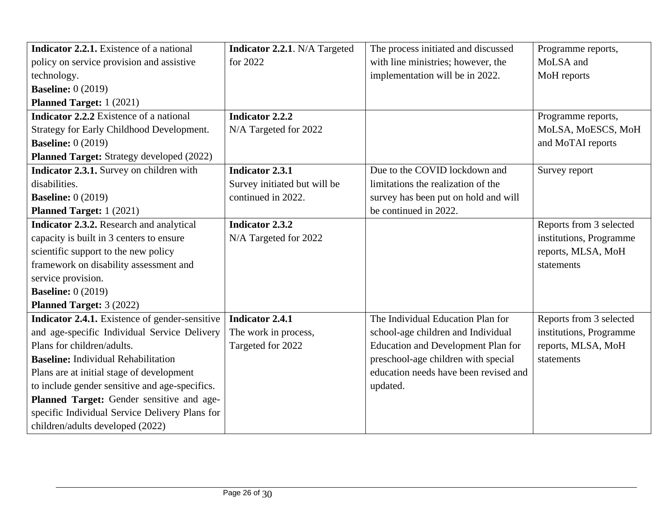| Indicator 2.2.1. Existence of a national         | <b>Indicator 2.2.1.</b> N/A Targeted | The process initiated and discussed       | Programme reports,      |
|--------------------------------------------------|--------------------------------------|-------------------------------------------|-------------------------|
| policy on service provision and assistive        | for 2022                             | with line ministries; however, the        | MoLSA and               |
| technology.                                      |                                      | implementation will be in 2022.           | MoH reports             |
| <b>Baseline:</b> 0 (2019)                        |                                      |                                           |                         |
| <b>Planned Target:</b> 1 (2021)                  |                                      |                                           |                         |
| <b>Indicator 2.2.2</b> Existence of a national   | <b>Indicator 2.2.2</b>               |                                           | Programme reports,      |
| Strategy for Early Childhood Development.        | N/A Targeted for 2022                |                                           | MoLSA, MoESCS, MoH      |
| <b>Baseline:</b> 0 (2019)                        |                                      |                                           | and MoTAI reports       |
| <b>Planned Target:</b> Strategy developed (2022) |                                      |                                           |                         |
| Indicator 2.3.1. Survey on children with         | <b>Indicator 2.3.1</b>               | Due to the COVID lockdown and             | Survey report           |
| disabilities.                                    | Survey initiated but will be         | limitations the realization of the        |                         |
| <b>Baseline:</b> 0 (2019)                        | continued in 2022.                   | survey has been put on hold and will      |                         |
| <b>Planned Target:</b> 1 (2021)                  |                                      | be continued in 2022.                     |                         |
| Indicator 2.3.2. Research and analytical         | <b>Indicator 2.3.2</b>               |                                           | Reports from 3 selected |
| capacity is built in 3 centers to ensure         | N/A Targeted for 2022                |                                           | institutions, Programme |
| scientific support to the new policy             |                                      |                                           | reports, MLSA, MoH      |
| framework on disability assessment and           |                                      |                                           | statements              |
| service provision.                               |                                      |                                           |                         |
| <b>Baseline:</b> 0 (2019)                        |                                      |                                           |                         |
| <b>Planned Target: 3 (2022)</b>                  |                                      |                                           |                         |
| Indicator 2.4.1. Existence of gender-sensitive   | <b>Indicator 2.4.1</b>               | The Individual Education Plan for         | Reports from 3 selected |
| and age-specific Individual Service Delivery     | The work in process,                 | school-age children and Individual        | institutions, Programme |
| Plans for children/adults.                       | Targeted for 2022                    | <b>Education and Development Plan for</b> | reports, MLSA, MoH      |
| <b>Baseline:</b> Individual Rehabilitation       |                                      | preschool-age children with special       | statements              |
| Plans are at initial stage of development        |                                      | education needs have been revised and     |                         |
| to include gender sensitive and age-specifics.   |                                      | updated.                                  |                         |
| Planned Target: Gender sensitive and age-        |                                      |                                           |                         |
| specific Individual Service Delivery Plans for   |                                      |                                           |                         |
| children/adults developed (2022)                 |                                      |                                           |                         |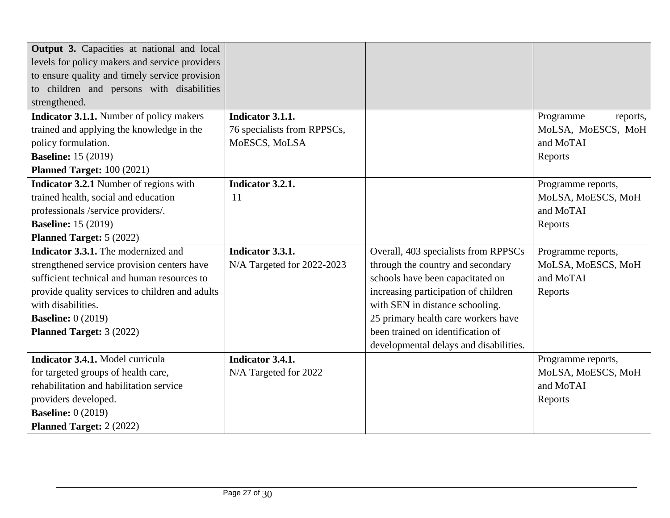| <b>Output 3.</b> Capacities at national and local |                             |                                        |                       |
|---------------------------------------------------|-----------------------------|----------------------------------------|-----------------------|
| levels for policy makers and service providers    |                             |                                        |                       |
| to ensure quality and timely service provision    |                             |                                        |                       |
| to children and persons with disabilities         |                             |                                        |                       |
| strengthened.                                     |                             |                                        |                       |
| <b>Indicator 3.1.1.</b> Number of policy makers   | Indicator 3.1.1.            |                                        | Programme<br>reports, |
| trained and applying the knowledge in the         | 76 specialists from RPPSCs, |                                        | MoLSA, MoESCS, MoH    |
| policy formulation.                               | MoESCS, MoLSA               |                                        | and MoTAI             |
| <b>Baseline:</b> 15 (2019)                        |                             |                                        | Reports               |
| Planned Target: 100 (2021)                        |                             |                                        |                       |
| <b>Indicator 3.2.1</b> Number of regions with     | Indicator 3.2.1.            |                                        | Programme reports,    |
| trained health, social and education              | 11                          |                                        | MoLSA, MoESCS, MoH    |
| professionals /service providers/.                |                             |                                        | and MoTAI             |
| <b>Baseline:</b> 15 (2019)                        |                             |                                        | Reports               |
| Planned Target: 5 (2022)                          |                             |                                        |                       |
| <b>Indicator 3.3.1.</b> The modernized and        | Indicator 3.3.1.            | Overall, 403 specialists from RPPSCs   | Programme reports,    |
| strengthened service provision centers have       | N/A Targeted for 2022-2023  | through the country and secondary      | MoLSA, MoESCS, MoH    |
| sufficient technical and human resources to       |                             | schools have been capacitated on       | and MoTAI             |
| provide quality services to children and adults   |                             | increasing participation of children   | Reports               |
| with disabilities.                                |                             | with SEN in distance schooling.        |                       |
| <b>Baseline:</b> 0 (2019)                         |                             | 25 primary health care workers have    |                       |
| <b>Planned Target: 3 (2022)</b>                   |                             | been trained on identification of      |                       |
|                                                   |                             | developmental delays and disabilities. |                       |
| Indicator 3.4.1. Model curricula                  | Indicator 3.4.1.            |                                        | Programme reports,    |
| for targeted groups of health care,               | N/A Targeted for 2022       |                                        | MoLSA, MoESCS, MoH    |
| rehabilitation and habilitation service           |                             |                                        | and MoTAI             |
| providers developed.                              |                             |                                        | Reports               |
| <b>Baseline: 0 (2019)</b>                         |                             |                                        |                       |
| <b>Planned Target: 2 (2022)</b>                   |                             |                                        |                       |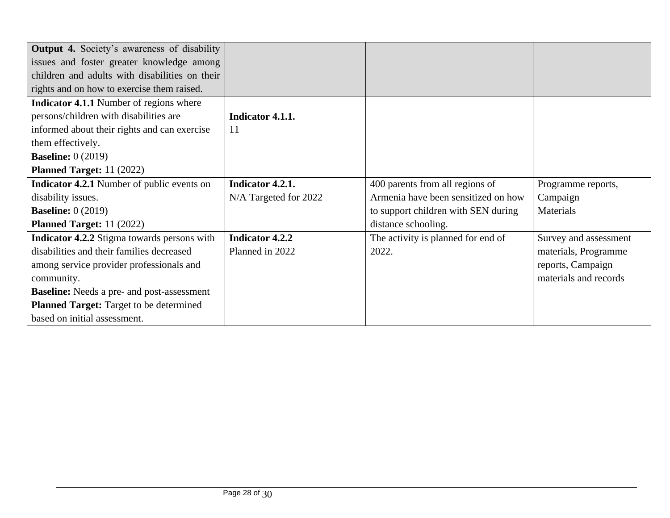| <b>Output 4.</b> Society's awareness of disability |                        |                                     |                       |
|----------------------------------------------------|------------------------|-------------------------------------|-----------------------|
| issues and foster greater knowledge among          |                        |                                     |                       |
| children and adults with disabilities on their     |                        |                                     |                       |
| rights and on how to exercise them raised.         |                        |                                     |                       |
| <b>Indicator 4.1.1</b> Number of regions where     |                        |                                     |                       |
| persons/children with disabilities are             | Indicator 4.1.1.       |                                     |                       |
| informed about their rights and can exercise       | 11                     |                                     |                       |
| them effectively.                                  |                        |                                     |                       |
| <b>Baseline:</b> 0 (2019)                          |                        |                                     |                       |
| <b>Planned Target:</b> 11 (2022)                   |                        |                                     |                       |
| <b>Indicator 4.2.1</b> Number of public events on  | Indicator 4.2.1.       | 400 parents from all regions of     | Programme reports,    |
| disability issues.                                 | N/A Targeted for 2022  | Armenia have been sensitized on how | Campaign              |
| <b>Baseline:</b> 0 (2019)                          |                        | to support children with SEN during | Materials             |
| <b>Planned Target:</b> 11 (2022)                   |                        | distance schooling.                 |                       |
| <b>Indicator 4.2.2</b> Stigma towards persons with | <b>Indicator 4.2.2</b> | The activity is planned for end of  | Survey and assessment |
| disabilities and their families decreased          | Planned in 2022        | 2022.                               | materials, Programme  |
| among service provider professionals and           |                        |                                     | reports, Campaign     |
| community.                                         |                        |                                     | materials and records |
| <b>Baseline:</b> Needs a pre- and post-assessment  |                        |                                     |                       |
| <b>Planned Target:</b> Target to be determined     |                        |                                     |                       |
| based on initial assessment.                       |                        |                                     |                       |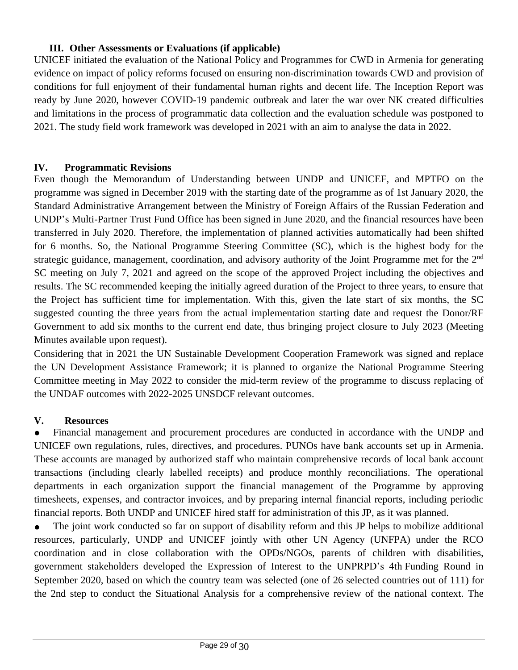#### **III. Other Assessments or Evaluations (if applicable)**

UNICEF initiated the evaluation of the National Policy and Programmes for CWD in Armenia for generating evidence on impact of policy reforms focused on ensuring non-discrimination towards CWD and provision of conditions for full enjoyment of their fundamental human rights and decent life. The Inception Report was ready by June 2020, however COVID-19 pandemic outbreak and later the war over NK created difficulties and limitations in the process of programmatic data collection and the evaluation schedule was postponed to 2021. The study field work framework was developed in 2021 with an aim to analyse the data in 2022.

#### **IV. Programmatic Revisions**

Even though the Memorandum of Understanding between UNDP and UNICEF, and MPTFO on the programme was signed in December 2019 with the starting date of the programme as of 1st January 2020, the Standard Administrative Arrangement between the Ministry of Foreign Affairs of the Russian Federation and UNDP's Multi-Partner Trust Fund Office has been signed in June 2020, and the financial resources have been transferred in July 2020. Therefore, the implementation of planned activities automatically had been shifted for 6 months. So, the National Programme Steering Committee (SC), which is the highest body for the strategic guidance, management, coordination, and advisory authority of the Joint Programme met for the 2<sup>nd</sup> SC meeting on July 7, 2021 and agreed on the scope of the approved Project including the objectives and results. The SC recommended keeping the initially agreed duration of the Project to three years, to ensure that the Project has sufficient time for implementation. With this, given the late start of six months, the SC suggested counting the three years from the actual implementation starting date and request the Donor/RF Government to add six months to the current end date, thus bringing project closure to July 2023 (Meeting Minutes available upon request).

Considering that in 2021 the UN Sustainable Development Cooperation Framework was signed and replace the UN Development Assistance Framework; it is planned to organize the National Programme Steering Committee meeting in May 2022 to consider the mid-term review of the programme to discuss replacing of the UNDAF outcomes with 2022-2025 UNSDCF relevant outcomes.

#### **V. Resources**

Financial management and procurement procedures are conducted in accordance with the UNDP and UNICEF own regulations, rules, directives, and procedures. PUNOs have bank accounts set up in Armenia. These accounts are managed by authorized staff who maintain comprehensive records of local bank account transactions (including clearly labelled receipts) and produce monthly reconciliations. The operational departments in each organization support the financial management of the Programme by approving timesheets, expenses, and contractor invoices, and by preparing internal financial reports, including periodic financial reports. Both UNDP and UNICEF hired staff for administration of this JP, as it was planned.

• The joint work conducted so far on support of disability reform and this JP helps to mobilize additional resources, particularly, UNDP and UNICEF jointly with other UN Agency (UNFPA) under the RCO coordination and in close collaboration with the OPDs/NGOs, parents of children with disabilities, government stakeholders developed the Expression of Interest to the UNPRPD's 4th Funding Round in September 2020, based on which the country team was selected (one of 26 selected countries out of 111) for the 2nd step to conduct the Situational Analysis for a comprehensive review of the national context. The